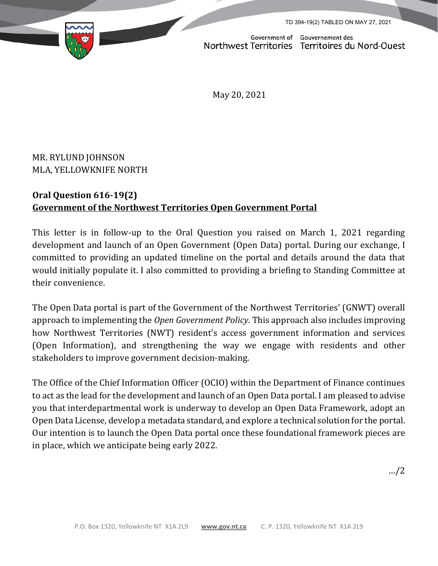TD 394-19(2) TABLED ON MAY 27, 2021

Government of Gouvernement des

Northwest Territories Territoires du Nord-Ouest

May 20, 2021

MR. RYLUND JOHNSON MLA, YELLOWKNIFE NORTH

## **Oral Question 616-19(2) Government of the Northwest Territories Open Government Portal**

This letter is in follow-up to the Oral Question you raised on March 1, 2021 regarding development and launch of an Open Government (Open Data) portal. During our exchange, I committed to providing an updated timeline on the portal and details around the data that would initially populate it. I also committed to providing a briefing to Standing Committee at their convenience.

The Open Data portal is part of the Government of the Northwest Territories' (GNWT) overall approach to implementing the *Open Government Policy*. This approach also includes improving how Northwest Territories (NWT) resident's access government information and services (Open Information), and strengthening the way we engage with residents and other stakeholders to improve government decision-making.

The Office of the Chief Information Officer (OCIO) within the Department of Finance continues to act as the lead for the development and launch of an Open Data portal. I am pleased to advise you that interdepartmental work is underway to develop an Open Data Framework, adopt an Open Data License, develop a metadata standard, and explore a technical solution for the portal. Our intention is to launch the Open Data portal once these foundational framework pieces are in place, which we anticipate being early 2022.

…/2